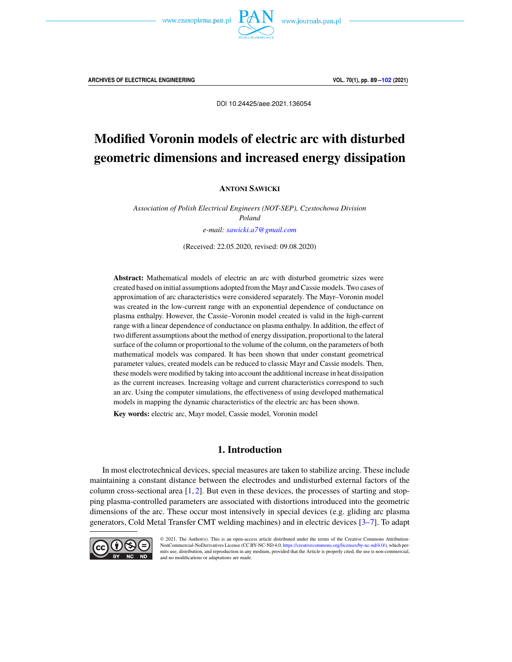

**ARCHIVES OF ELECTRICAL ENGINEERING VOL. 70(1), pp. 89 [–102](#page-13-0) (2021)**

DOI 10.24425/aee.2021.136054

# Modified Voronin models of electric arc with disturbed geometric dimensions and increased energy dissipation

#### **ANTONI SAWICKI**

*Association of Polish Electrical Engineers (NOT-SEP), Czestochowa Division Poland e-mail: [sawicki.a7@gmail.com](mailto:sawicki.a7@gmail.com)*

(Received: 22.05.2020, revised: 09.08.2020)

**Abstract:** Mathematical models of electric an arc with disturbed geometric sizes were created based on initial assumptions adopted from the Mayr and Cassie models. Two cases of approximation of arc characteristics were considered separately. The Mayr–Voronin model was created in the low-current range with an exponential dependence of conductance on plasma enthalpy. However, the Cassie–Voronin model created is valid in the high-current range with a linear dependence of conductance on plasma enthalpy. In addition, the effect of two different assumptions about the method of energy dissipation, proportional to the lateral surface of the column or proportional to the volume of the column, on the parameters of both mathematical models was compared. It has been shown that under constant geometrical parameter values, created models can be reduced to classic Mayr and Cassie models. Then, these models were modified by taking into account the additional increase in heat dissipation as the current increases. Increasing voltage and current characteristics correspond to such an arc. Using the computer simulations, the effectiveness of using developed mathematical models in mapping the dynamic characteristics of the electric arc has been shown.

**Key words:** electric arc, Mayr model, Cassie model, Voronin model

#### **1. Introduction**

In most electrotechnical devices, special measures are taken to stabilize arcing. These include maintaining a constant distance between the electrodes and undisturbed external factors of the column cross-sectional area  $[1, 2]$  $[1, 2]$  $[1, 2]$ . But even in these devices, the processes of starting and stopping plasma-controlled parameters are associated with distortions introduced into the geometric dimensions of the arc. These occur most intensively in special devices (e.g. gliding arc plasma generators, Cold Metal Transfer CMT welding machines) and in electric devices [\[3–](#page-13-3)[7\]](#page-13-4). To adapt



© 2021. The Author(s). This is an open-access article distributed under the terms of the Creative Commons Attribution-NonCommercial-NoDerivatives License (CC BY-NC-ND 4.0, [https://creativecommons.org/licenses/by-nc-nd/4.0/\)](https://creativecommons.org/licenses/by-nc-nd/4.0/), which permits use, distribution, and reproduction in any medium, provided that the Article is properly cited, the use is non-commercial, and no modifications or adaptations are made.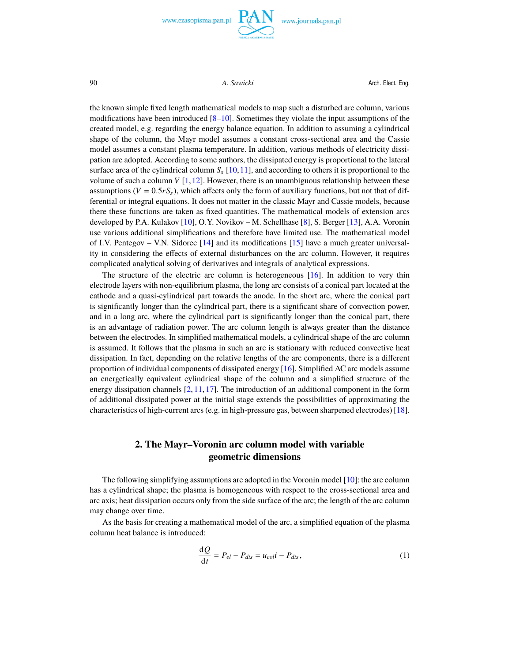

www.journals.pan.pl



90 **A.** Sawicki **A.** Sawicki **A.** Sawicki **Arch. Elect. Eng.** 

the known simple fixed length mathematical models to map such a disturbed arc column, various modifications have been introduced  $[8-10]$  $[8-10]$ . Sometimes they violate the input assumptions of the created model, e.g. regarding the energy balance equation. In addition to assuming a cylindrical shape of the column, the Mayr model assumes a constant cross-sectional area and the Cassie model assumes a constant plasma temperature. In addition, various methods of electricity dissipation are adopted. According to some authors, the dissipated energy is proportional to the lateral surface area of the cylindrical column  $S<sub>s</sub>$  [\[10,](#page-13-6)[11\]](#page-13-7), and according to others it is proportional to the volume of such a column  $V$  [\[1,](#page-13-1)[12\]](#page-13-8). However, there is an unambiguous relationship between these assumptions ( $V = 0.5 \text{rS}_s$ ), which affects only the form of auxiliary functions, but not that of differential or integral equations. It does not matter in the classic Mayr and Cassie models, because there these functions are taken as fixed quantities. The mathematical models of extension arcs developed by P.A. Kulakov [\[10\]](#page-13-6), O.Y. Novikov – M. Schellhase [\[8\]](#page-13-5), S. Berger [\[13\]](#page-13-9), A.A. Voronin use various additional simplifications and therefore have limited use. The mathematical model of I.V. Pentegov – V.N. Sidorec  $[14]$  and its modifications  $[15]$  have a much greater universality in considering the effects of external disturbances on the arc column. However, it requires complicated analytical solving of derivatives and integrals of analytical expressions.

The structure of the electric arc column is heterogeneous  $[16]$ . In addition to very thin electrode layers with non-equilibrium plasma, the long arc consists of a conical part located at the cathode and a quasi-cylindrical part towards the anode. In the short arc, where the conical part is significantly longer than the cylindrical part, there is a significant share of convection power, and in a long arc, where the cylindrical part is significantly longer than the conical part, there is an advantage of radiation power. The arc column length is always greater than the distance between the electrodes. In simplified mathematical models, a cylindrical shape of the arc column is assumed. It follows that the plasma in such an arc is stationary with reduced convective heat dissipation. In fact, depending on the relative lengths of the arc components, there is a different proportion of individual components of dissipated energy [\[16\]](#page-13-12). Simplified AC arc models assume an energetically equivalent cylindrical shape of the column and a simplified structure of the energy dissipation channels [\[2,](#page-13-2) [11,](#page-13-7) [17\]](#page-13-13). The introduction of an additional component in the form of additional dissipated power at the initial stage extends the possibilities of approximating the characteristics of high-current arcs (e.g. in high-pressure gas, between sharpened electrodes) [\[18\]](#page-13-14).

## **2. The Mayr–Voronin arc column model with variable geometric dimensions**

The following simplifying assumptions are adopted in the Voronin model [\[10\]](#page-13-6): the arc column has a cylindrical shape; the plasma is homogeneous with respect to the cross-sectional area and arc axis; heat dissipation occurs only from the side surface of the arc; the length of the arc column may change over time.

As the basis for creating a mathematical model of the arc, a simplified equation of the plasma column heat balance is introduced:

<span id="page-1-0"></span>
$$
\frac{\mathrm{d}Q}{\mathrm{d}t} = P_{el} - P_{dis} = u_{col}i - P_{dis},\tag{1}
$$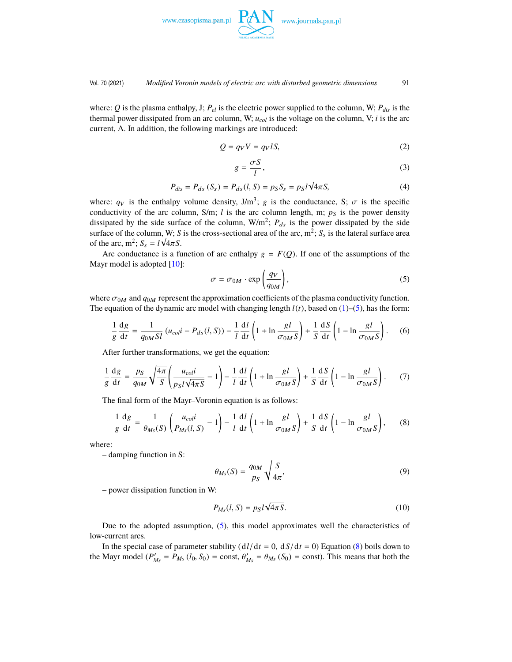



where: *Q* is the plasma enthalpy, J; *Pel* is the electric power supplied to the column, W; *Pdis* is the thermal power dissipated from an arc column, W; *ucol* is the voltage on the column, V; *i* is the arc current, A. In addition, the following markings are introduced:

<span id="page-2-3"></span>
$$
Q = q_V V = q_V lS,\tag{2}
$$

$$
g = \frac{\sigma S}{l},\tag{3}
$$

<span id="page-2-2"></span>
$$
P_{dis} = P_{ds} (S_s) = P_{ds} (l, S) = p_S S_s = p_S l \sqrt{4\pi S}, \qquad (4)
$$

where:  $q_V$  is the enthalpy volume density,  $J/m^3$ ; g is the conductance, S;  $\sigma$  is the specific conductivity of the arc column  $S/m$ ; *l* is the arc column length m; *n*<sub>i</sub> is the power density conductivity of the arc column,  $S/m$ ; *l* is the arc column length, m;  $p_S$  is the power density dissipated by the side surface of the column,  $W/m^2$ ;  $P_{ds}$  is the power dissipated by the side surface of the column, W; *S* is the cross-sectional area of the arc,  $m^2$ ;  $S_s$  is the lateral surface area of the arc, m<sup>2</sup>;  $S_s = l\sqrt{4\pi S}$ .

Arc conductance is a function of arc enthalpy  $g = F(Q)$ . If one of the assumptions of the Mayr model is adopted [\[10\]](#page-13-6):

<span id="page-2-0"></span>
$$
\sigma = \sigma_{0M} \cdot \exp\left(\frac{q_V}{q_{0M}}\right),\tag{5}
$$

where  $\sigma_{0M}$  and  $q_{0M}$  represent the approximation coefficients of the plasma conductivity function. The equation of the dynamic arc model with changing length  $l(t)$ , based on  $(1)$ –[\(5\)](#page-2-0), has the form:

$$
\frac{1}{g}\frac{dg}{dt} = \frac{1}{q_{0M}Sl} \left( u_{col}i - P_{ds}(l, S) \right) - \frac{1}{l}\frac{dl}{dt} \left( 1 + \ln \frac{gl}{\sigma_{0M}S} \right) + \frac{1}{S}\frac{dS}{dt} \left( 1 - \ln \frac{gl}{\sigma_{0M}S} \right). \tag{6}
$$

After further transformations, we get the equation:

$$
\frac{1}{g}\frac{dg}{dt} = \frac{p_S}{q_{0M}}\sqrt{\frac{4\pi}{S}}\left(\frac{u_{col}i}{p_S l \sqrt{4\pi S}} - 1\right) - \frac{1}{l}\frac{dl}{dt}\left(1 + \ln\frac{gl}{\sigma_{0M}S}\right) + \frac{1}{S}\frac{dS}{dt}\left(1 - \ln\frac{gl}{\sigma_{0M}S}\right). \tag{7}
$$

The final form of the Mayr–Voronin equation is as follows:

<span id="page-2-1"></span>
$$
\frac{1}{g}\frac{dg}{dt} = \frac{1}{\theta_{MS}(S)} \left( \frac{u_{col}i}{P_{Ms}(l,S)} - 1 \right) - \frac{1}{l}\frac{dl}{dt} \left( 1 + \ln \frac{gl}{\sigma_{OM}S} \right) + \frac{1}{S} \frac{dS}{dt} \left( 1 - \ln \frac{gl}{\sigma_{OM}S} \right),\tag{8}
$$

where:

– damping function in S:

<span id="page-2-4"></span>
$$
\theta_{Ms}(S) = \frac{q_{0M}}{p_S} \sqrt{\frac{S}{4\pi}},\tag{9}
$$

– power dissipation function in W:

<span id="page-2-5"></span>
$$
P_{Ms}(l, S) = p_S l \sqrt{4\pi S}.
$$
\n(10)

Due to the adopted assumption, [\(5\)](#page-2-0), this model approximates well the characteristics of low-current arcs.

In the special case of parameter stability  $\frac{dI}{dt} = 0$ ,  $\frac{dS}{dt} = 0$ ) Equation [\(8\)](#page-2-1) boils down to the Mayr model ( $P'_{Ms} = P_{Ms} (l_0, S_0) = \text{const}, \theta'_{Ms} = \theta_{Ms} (S_0) = \text{const}.$  This means that both the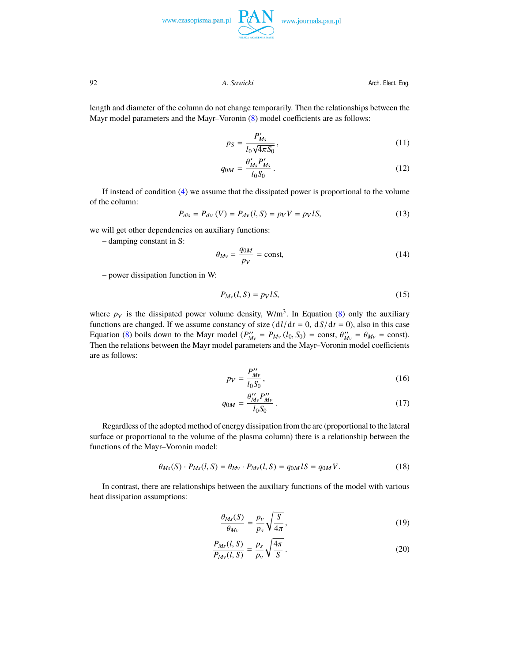

92 *A. Sawicki* Arch. Elect. Eng.

length and diameter of the column do not change temporarily. Then the relationships between the Mayr model parameters and the Mayr–Voronin [\(8\)](#page-2-1) model coefficients are as follows:

$$
p_S = \frac{P'_{Ms}}{l_0 \sqrt{4\pi S_0}},
$$
\n(11)

$$
q_{0M} = \frac{\theta'_{Ms} P'_{Ms}}{l_0 S_0} \,. \tag{12}
$$

If instead of condition [\(4\)](#page-2-2) we assume that the dissipated power is proportional to the volume of the column:

<span id="page-3-1"></span>
$$
P_{dis} = P_{dv}(V) = P_{dv}(l, S) = p_V V = p_V lS,
$$
\n(13)

we will get other dependencies on auxiliary functions:

– damping constant in S:

<span id="page-3-2"></span>
$$
\theta_{M_V} = \frac{q_{0M}}{p_V} = \text{const},\tag{14}
$$

– power dissipation function in W:

<span id="page-3-3"></span>
$$
P_{Mv}(l, S) = p_V lS,\tag{15}
$$

where  $p_V$  is the dissipated power volume density,  $W/m^3$ . In Equation [\(8\)](#page-2-1) only the auxiliary functions are changed. If we assume constancy of size  $\frac{dI}{dt} = 0$ ,  $\frac{dS}{dt} = 0$ , also in this case Equation [\(8\)](#page-2-1) boils down to the Mayr model  $(P''_{Mv} = P_{Mv} (l_0, S_0) = \text{const}, \theta''_{Mv} = \theta_{Mv} = \text{const}).$ <br>Then the relations between the Mayr model parameters and the Mayr Voronin model coefficients Then the relations between the Mayr model parameters and the Mayr–Voronin model coefficients are as follows:

$$
p_V = \frac{P_{Mv}^{\prime\prime}}{l_0 S_0},\tag{16}
$$

$$
q_{0M} = \frac{\theta_{M_V}^{\prime\prime} P_{M_V}^{\prime\prime}}{l_0 S_0} \,. \tag{17}
$$

Regardless of the adopted method of energy dissipation from the arc (proportional to the lateral surface or proportional to the volume of the plasma column) there is a relationship between the functions of the Mayr–Voronin model:

<span id="page-3-0"></span>
$$
\theta_{Ms}(S) \cdot P_{Ms}(l, S) = \theta_{Mv} \cdot P_{Mv}(l, S) = q_{0M}lS = q_{0M}V. \tag{18}
$$

In contrast, there are relationships between the auxiliary functions of the model with various heat dissipation assumptions:

$$
\frac{\theta_{Ms}(S)}{\theta_{Mv}} = \frac{p_v}{p_s} \sqrt{\frac{S}{4\pi}},\tag{19}
$$

$$
\frac{P_{Ms}(l, S)}{P_{Mv}(l, S)} = \frac{p_s}{p_v} \sqrt{\frac{4\pi}{S}}.
$$
\n(20)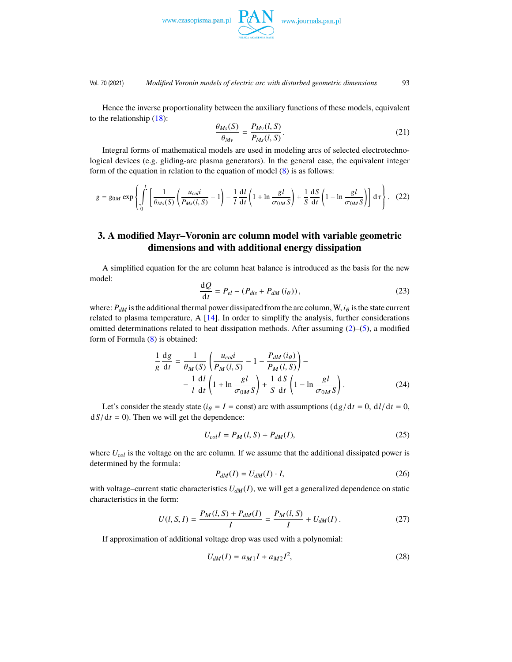

Hence the inverse proportionality between the auxiliary functions of these models, equivalent to the relationship [\(18\)](#page-3-0):

$$
\frac{\theta_{Ms}(S)}{\theta_{Mv}} = \frac{P_{Mv}(l, S)}{P_{Ms}(l, S)}.
$$
\n(21)

 $\theta_{Mv}$   $P_{Ms}(l, S)$ Integral forms of mathematical models are used in modeling arcs of selected electrotechnological devices (e.g. gliding-arc plasma generators). In the general case, the equivalent integer form of the equation in relation to the equation of model  $(8)$  is as follows:

$$
g = g_{0M} \exp\left\{ \int_{0}^{t} \left[ \frac{1}{\theta_{Ms}(S)} \left( \frac{u_{col}i}{P_{Ms}(I,S)} - 1 \right) - \frac{1}{l} \frac{dl}{dt} \left( 1 + \ln \frac{gl}{\sigma_{0M}S} \right) + \frac{1}{S} \frac{dS}{dt} \left( 1 - \ln \frac{gl}{\sigma_{0M}S} \right) \right] d\tau \right\}.
$$
 (22)

## **3. A modified Mayr–Voronin arc column model with variable geometric dimensions and with additional energy dissipation**

A simplified equation for the arc column heat balance is introduced as the basis for the new model:

$$
\frac{\mathrm{d}Q}{\mathrm{d}t} = P_{el} - (P_{dis} + P_{dM}(i_{\theta})),\tag{23}
$$

where:  $P_{dM}$  is the additional thermal power dissipated from the arc column, W,  $i_{\theta}$  is the state current related to plasma temperature, A [\[14\]](#page-13-10). In order to simplify the analysis, further considerations omitted determinations related to heat dissipation methods. After assuming  $(2)$ –[\(5\)](#page-2-0), a modified form of Formula [\(8\)](#page-2-1) is obtained:

$$
\frac{1}{g}\frac{dg}{dt} = \frac{1}{\theta_M(S)} \left( \frac{u_{col}i}{P_M(l,S)} - 1 - \frac{P_{dM}(i_{\theta})}{P_M(l,S)} \right) -
$$

$$
- \frac{1}{l} \frac{dl}{dt} \left( 1 + \ln \frac{gl}{\sigma_{0M}S} \right) + \frac{1}{S} \frac{dS}{dt} \left( 1 - \ln \frac{gl}{\sigma_{0M}S} \right). \tag{24}
$$

Let's consider the steady state ( $i_{\theta} = I = \text{const}$ ) arc with assumptions ( $\frac{dg}{dt} = 0$ ,  $\frac{dI}{dt} = 0$ ,  $dS/dt = 0$ ). Then we will get the dependence:

<span id="page-4-0"></span>
$$
U_{col}I = P_M(l, S) + P_{dM}(I),
$$
\n(25)

where  $U_{col}$  is the voltage on the arc column. If we assume that the additional dissipated power is determined by the formula:

$$
P_{dM}(I) = U_{dM}(I) \cdot I,\tag{26}
$$

with voltage–current static characteristics  $U_{dM}(I)$ , we will get a generalized dependence on static characteristics in the form:

$$
U(l, S, I) = \frac{P_M(l, S) + P_{dM}(I)}{I} = \frac{P_M(l, S)}{I} + U_{dM}(I). \tag{27}
$$

If approximation of additional voltage drop was used with a polynomial:

$$
U_{dM}(I) = a_{M1}I + a_{M2}I^2,
$$
\n(28)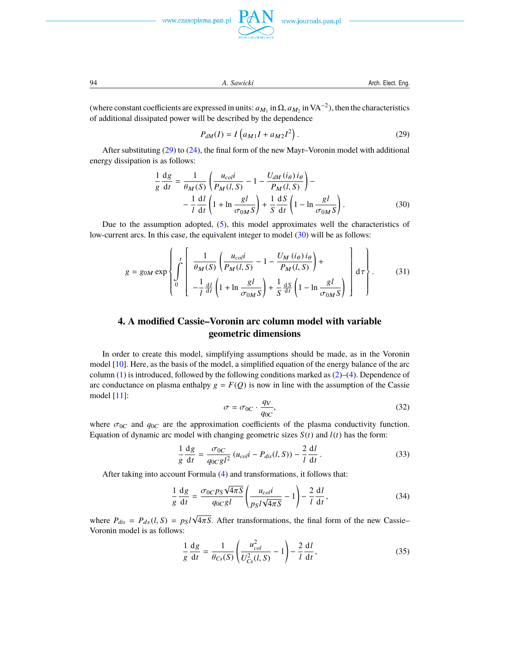

| - 94 | A. Sawicki | Arch. Elect. Eng. |
|------|------------|-------------------|
|      |            |                   |

(where constant coefficients are expressed in units:  $a_{M_1}$  in  $\Omega$ ,  $a_{M_2}$  in VA<sup>-2</sup>), then the characteristics of additional dissipated power will be described by the dependence

<span id="page-5-1"></span><span id="page-5-0"></span>
$$
P_{dM}(I) = I\left(a_{M1}I + a_{M2}I^2\right).
$$
 (29)

After substituting [\(29\)](#page-5-0) to [\(24\)](#page-4-0), the final form of the new Mayr–Voronin model with additional energy dissipation is as follows:

$$
\frac{1}{g}\frac{dg}{dt} = \frac{1}{\theta_M(S)} \left( \frac{u_{col}i}{P_M(l,S)} - 1 - \frac{U_{dM}(i_{\theta})i_{\theta}}{P_M(l,S)} \right) - \frac{1}{l}\frac{dl}{dt} \left( 1 + \ln \frac{gl}{\sigma_{OM}S} \right) + \frac{1}{S}\frac{dS}{dt} \left( 1 - \ln \frac{gl}{\sigma_{OM}S} \right).
$$
\n(30)

Due to the assumption adopted, [\(5\)](#page-2-0), this model approximates well the characteristics of low-current arcs. In this case, the equivalent integer to model [\(30\)](#page-5-1) will be as follows:

$$
g = g_{0M} \exp\left\{\int_{0}^{t} \left[ \frac{1}{\theta_{M}(S)} \left( \frac{u_{col}i}{P_{M}(l,S)} - 1 - \frac{U_{M}(i_{\theta}) i_{\theta}}{P_{M}(l,S)} \right) + \frac{1}{\theta} \frac{dS}{dt} \left( 1 - \ln \frac{gl}{\sigma_{0M}S} \right) \right] d\tau \right\}.
$$
 (31)

# **4. A modified Cassie–Voronin arc column model with variable geometric dimensions**

In order to create this model, simplifying assumptions should be made, as in the Voronin model [\[10\]](#page-13-6). Here, as the basis of the model, a simplified equation of the energy balance of the arc column [\(1\)](#page-1-0) is introduced, followed by the following conditions marked as  $(2)$ – $(4)$ . Dependence of arc conductance on plasma enthalpy  $g = F(Q)$  is now in line with the assumption of the Cassie model [\[11\]](#page-13-7):

<span id="page-5-2"></span>
$$
\sigma = \sigma_{0C} \cdot \frac{q_V}{q_{0C}},\tag{32}
$$

where  $\sigma_{0C}$  and  $q_{0C}$  are the approximation coefficients of the plasma conductivity function. Equation of dynamic arc model with changing geometric sizes  $S(t)$  and  $l(t)$  has the form:

$$
\frac{1}{g}\frac{dg}{dt} = \frac{\sigma_{0C}}{q_{0C}gl^2} \left( u_{col}i - P_{dis}(l, S) \right) - \frac{2}{l}\frac{dl}{dt} \,. \tag{33}
$$

After taking into account Formula [\(4\)](#page-2-2) and transformations, it follows that:

<span id="page-5-4"></span>
$$
\frac{1}{g}\frac{dg}{dt} = \frac{\sigma_{0C}p_S\sqrt{4\pi S}}{q_{0C}gl} \left(\frac{u_{col}i}{p_S l \sqrt{4\pi S}} - 1\right) - \frac{2}{l}\frac{dl}{dt},\tag{34}
$$

where  $P_{dis} = P_{ds}(l, S) = p_S l$ <br>Voronin model is as follows: √ <sup>4</sup>π*S*. After transformations, the final form of the new Cassie– Voronin model is as follows:

<span id="page-5-3"></span>
$$
\frac{1}{g}\frac{dg}{dt} = \frac{1}{\theta_{Cs}(S)} \left( \frac{u_{col}^2}{U_{Cs}^2(l,S)} - 1 \right) - \frac{2}{l} \frac{dl}{dt},\tag{35}
$$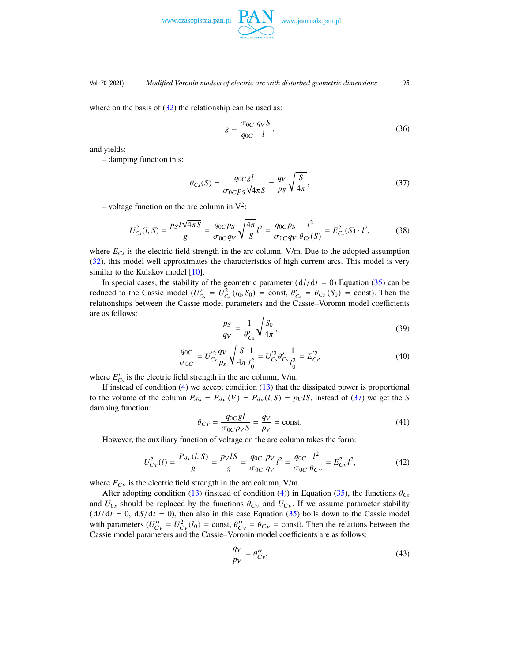

where on the basis of  $(32)$  the relationship can be used as:

$$
g = \frac{\sigma_{0C}}{q_{0C}} \frac{q_V S}{l},\tag{36}
$$

and yields:

– damping function in s:

<span id="page-6-0"></span>
$$
\theta_{Cs}(S) = \frac{q_{0CS}l}{\sigma_{0CPS}\sqrt{4\pi S}} = \frac{q_V}{p_S}\sqrt{\frac{S}{4\pi}},\tag{37}
$$

– voltage function on the arc column in  $V^2$ :

<span id="page-6-3"></span>
$$
U_{Cs}^2(l, S) = \frac{p_S l \sqrt{4\pi S}}{g} = \frac{q_{0} c p_S}{\sigma_{0} c q_V} \sqrt{\frac{4\pi}{S}} l^2 = \frac{q_{0} c p_S}{\sigma_{0} c q_V} \frac{l^2}{\theta_{Cs}(S)} = E_{Cs}^2(S) \cdot l^2,
$$
(38)

where  $E_{Cs}$  is the electric field strength in the arc column,  $V/m$ . Due to the adopted assumption [\(32\)](#page-5-2), this model well approximates the characteristics of high current arcs. This model is very similar to the Kulakov model [\[10\]](#page-13-6).

In special cases, the stability of the geometric parameter  $\frac{dl}{dt} = 0$ ) Equation [\(35\)](#page-5-3) can be reduced to the Cassie model  $(U'_{Cs} = U_{Cs}^2 (l_0, S_0) = \text{const}, \theta'_{Cs} = \theta_{Cs} (S_0) = \text{const}.$  Then the relationships between the Cassie model parameters and the Cassie–Voronin model coefficients are as follows:

$$
\frac{p_S}{q_V} = \frac{1}{\theta'_{Cs}} \sqrt{\frac{S_0}{4\pi}},\tag{39}
$$

$$
\frac{q_{0C}}{\sigma_{0C}} = U_{Cs}^{'2} \frac{q_V}{p_s} \sqrt{\frac{S}{4\pi}} \frac{1}{l_0^2} = U_{Cs}^{'2} \theta_{Cs}' \frac{1}{l_0^2} = E_{Cs}^{'2},\tag{40}
$$

where  $E'_{Cs}$  is the electric field strength in the arc column,  $V/m$ .

If instead of condition  $(4)$  we accept condition  $(13)$  that the dissipated power is proportional to the volume of the column  $P_{dis} = P_{dv}(V) = P_{dv}(l, S) = p_V lS$ , instead of [\(37\)](#page-6-0) we get the *S* damping function:

<span id="page-6-1"></span>
$$
\theta_{C\nu} = \frac{q_{0C}gl}{\sigma_{0C}p_{V}S} = \frac{q_V}{p_V} = \text{const.}
$$
\n(41)

 $\sigma_{0CPV}S$  *p<sub>V</sub>*  $\rho_{V}$ <br>However, the auxiliary function of voltage on the arc column takes the form:

<span id="page-6-2"></span>
$$
U_{C\nu}^2(l) = \frac{P_{dv}(l, S)}{g} = \frac{p_V l S}{g} = \frac{q_{0C}}{\sigma_{0C}} \frac{p_V}{q_V} l^2 = \frac{q_{0C}}{\sigma_{0C}} \frac{l^2}{\theta_{C\nu}} = E_{C\nu}^2 l^2,
$$
(42)

where  $E_{Cv}$  is the electric field strength in the arc column, V/m.

After adopting condition [\(13\)](#page-3-1) (instead of condition [\(4\)](#page-2-2)) in Equation [\(35\)](#page-5-3), the functions <sup>θ</sup>*Cs* and  $U_{Cs}$  should be replaced by the functions  $\theta_{Cy}$  and  $U_{Cy}$ . If we assume parameter stability  $\frac{d\ell}{dt} = 0$ ,  $\frac{dS}{dt} = 0$ , then also in this case Equation [\(35\)](#page-5-3) boils down to the Cassie model with parameters  $(U''_{C_v} = U^2_{C_v}(l_0) = \text{const}, \theta''_{C_v} = \theta_{C_v} = \text{const})$ . Then the relations between the Cassie model parameters and the Cassie–Voronin model coefficients are as follows:

$$
\frac{q_V}{p_V} = \theta_{C_v}^{\prime\prime},\tag{43}
$$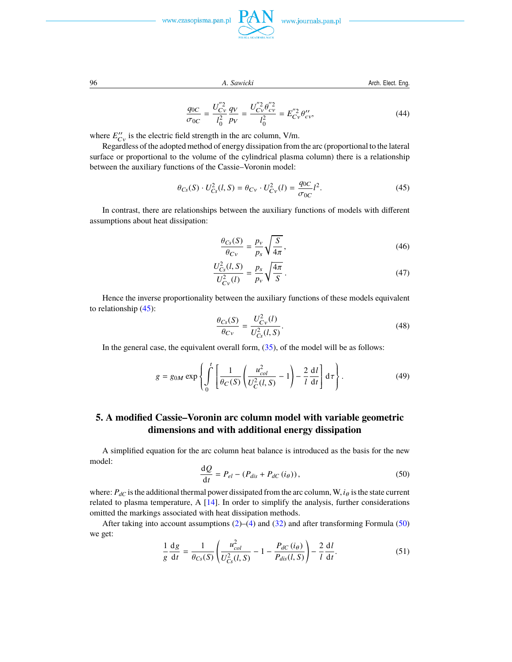



96 **A.** Sawicki **A.** Sawicki **A.** Sawicki **A.** Sawicki **Arch. Elect. Eng.** 

$$
\frac{q_{0C}}{\sigma_{0C}} = \frac{U_{Cv}^{''2}}{l_0^2} \frac{q_V}{p_V} = \frac{U_{Cv}^{''2} \theta_{cv}^{''2}}{l_0^2} = E_{Cv}^{''2} \theta_{cv}''',
$$
\n(44)

where  $E_{Cv}^{\prime}$  is the electric field strength in the arc column, V/m.

Regardless of the adopted method of energy dissipation from the arc (proportional to the lateral surface or proportional to the volume of the cylindrical plasma column) there is a relationship between the auxiliary functions of the Cassie–Voronin model:

<span id="page-7-0"></span>
$$
\theta_{Cs}(S) \cdot U_{Cs}^2(l, S) = \theta_{Cv} \cdot U_{Cv}^2(l) = \frac{q_{0C}}{\sigma_{0C}} l^2.
$$
 (45)

In contrast, there are relationships between the auxiliary functions of models with different assumptions about heat dissipation:

$$
\frac{\theta_{Cs}(S)}{\theta_{Cv}} = \frac{p_v}{p_s} \sqrt{\frac{S}{4\pi}},\tag{46}
$$

$$
\frac{U_{Cs}^2(l, S)}{U_{C_v}^2(l)} = \frac{p_s}{p_v} \sqrt{\frac{4\pi}{S}}.
$$
\n(47)

Hence the inverse proportionality between the auxiliary functions of these models equivalent to relationship [\(45\)](#page-7-0):

$$
\frac{\theta_{Cs}(S)}{\theta_{Cv}} = \frac{U_{Cv}^2(l)}{U_{Cs}^2(l,S)}.
$$
\n(48)

In the general case, the equivalent overall form, [\(35\)](#page-5-3), of the model will be as follows:

$$
g = g_{0M} \exp\left\{ \int\limits_0^t \left[ \frac{1}{\theta_C(S)} \left( \frac{u_{col}^2}{U_C^2(I,S)} - 1 \right) - \frac{2}{l} \frac{dl}{dt} \right] d\tau \right\}.
$$
 (49)

## **5. A modified Cassie–Voronin arc column model with variable geometric dimensions and with additional energy dissipation**

A simplified equation for the arc column heat balance is introduced as the basis for the new model:

<span id="page-7-1"></span>
$$
\frac{\mathrm{d}Q}{\mathrm{d}t} = P_{el} - (P_{dis} + P_{dC}(i_{\theta})),\tag{50}
$$

where:  $P_{dC}$  is the additional thermal power dissipated from the arc column, W,  $i_{\theta}$  is the state current related to plasma temperature, A [\[14\]](#page-13-10). In order to simplify the analysis, further considerations omitted the markings associated with heat dissipation methods.

After taking into account assumptions [\(2\)](#page-2-3)–[\(4\)](#page-2-2) and [\(32\)](#page-5-2) and after transforming Formula [\(50\)](#page-7-1) we get:

<span id="page-7-2"></span>
$$
\frac{1}{g}\frac{dg}{dt} = \frac{1}{\theta_{Cs}(S)} \left( \frac{u_{col}^2}{U_{Cs}^2(l,S)} - 1 - \frac{P_{dC}(i_{\theta})}{P_{dis}(l,S)} \right) - \frac{2}{l} \frac{dl}{dt}.
$$
\n(51)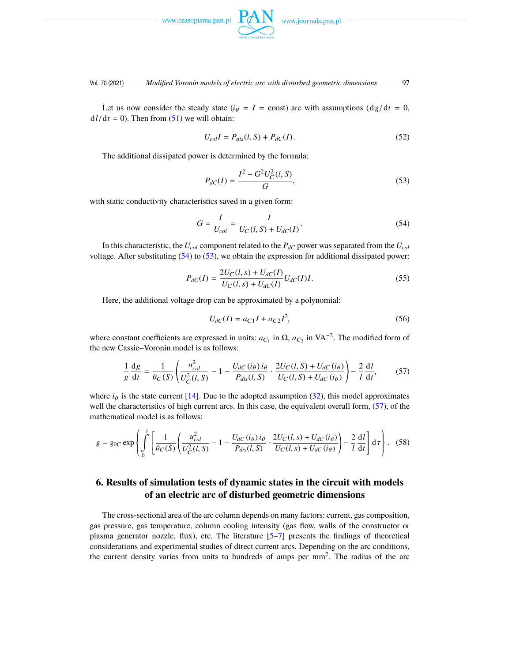

#### Vol. 70 (2021) *Modified Voronin models of electric arc with disturbed geometric dimensions* 97

Let us now consider the steady state  $(i_{\theta} = I = \text{const})$  arc with assumptions  $\frac{dg}{dt} = 0$ ,  $d*l*/dt = 0$ ). Then from [\(51\)](#page-7-2) we will obtain:

$$
U_{col}I = P_{dis}(l, S) + P_{dC}(I). \tag{52}
$$

The additional dissipated power is determined by the formula:

<span id="page-8-1"></span>
$$
P_{dC}(I) = \frac{I^2 - G^2 U_C^2(l, S)}{G},\tag{53}
$$

with static conductivity characteristics saved in a given form:

<span id="page-8-0"></span>
$$
G = \frac{I}{U_{col}} = \frac{I}{U_C(l, S) + U_{dC}(I)}.
$$
\n(54)

In this characteristic, the  $U_{col}$  component related to the  $P_{dC}$  power was separated from the  $U_{col}$ voltage. After substituting [\(54\)](#page-8-0) to [\(53\)](#page-8-1), we obtain the expression for additional dissipated power:

$$
P_{dC}(I) = \frac{2U_C(l, s) + U_{dC}(I)}{U_C(l, s) + U_{dC}(I)} U_{dC}(I)I.
$$
\n(55)

Here, the additional voltage drop can be approximated by a polynomial:

$$
U_{dC}(I) = a_{C1}I + a_{C2}I^2,
$$
\n(56)

where constant coefficients are expressed in units:  $a_{C_1}$  in  $\Omega$ ,  $a_{C_2}$  in VA<sup>-2</sup>. The modified form of the new Cassie–Voronin model is as follows:

<span id="page-8-2"></span>
$$
\frac{1}{g}\frac{dg}{dt} = \frac{1}{\theta_C(S)} \left( \frac{u_{col}^2}{U_C^2(l,S)} - 1 - \frac{U_{dC}(i_{\theta})i_{\theta}}{P_{dis}(l,S)} \cdot \frac{2U_C(l,S) + U_{dC}(i_{\theta})}{U_C(l,S) + U_{dC}(i_{\theta})} \right) - \frac{2}{l} \frac{dl}{dt},
$$
(57)

where  $i_{\theta}$  is the state current [\[14\]](#page-13-10). Due to the adopted assumption [\(32\)](#page-5-2), this model approximates well the characteristics of high current arcs. In this case, the equivalent overall form, [\(57\)](#page-8-2), of the mathematical model is as follows:

$$
g = g_{0C} \exp\left\{\int_{0}^{t} \left[ \frac{1}{\theta_{C}(S)} \left( \frac{u_{col}^{2}}{U_{C}^{2}(l,S)} - 1 - \frac{U_{dC}(i_{\theta}) i_{\theta}}{P_{dis}(l,S)} \cdot \frac{2U_{C}(l,s) + U_{dC}(i_{\theta})}{U_{C}(l,s) + U_{dC}(i_{\theta})} \right) - \frac{2}{l} \frac{dl}{dt} \right] d\tau \right\}.
$$
 (58)

### **6. Results of simulation tests of dynamic states in the circuit with models of an electric arc of disturbed geometric dimensions**

The cross-sectional area of the arc column depends on many factors: current, gas composition, gas pressure, gas temperature, column cooling intensity (gas flow, walls of the constructor or plasma generator nozzle, flux), etc. The literature  $[5-7]$  $[5-7]$  presents the findings of theoretical considerations and experimental studies of direct current arcs. Depending on the arc conditions, the current density varies from units to hundreds of amps per  $mm<sup>2</sup>$ . The radius of the arc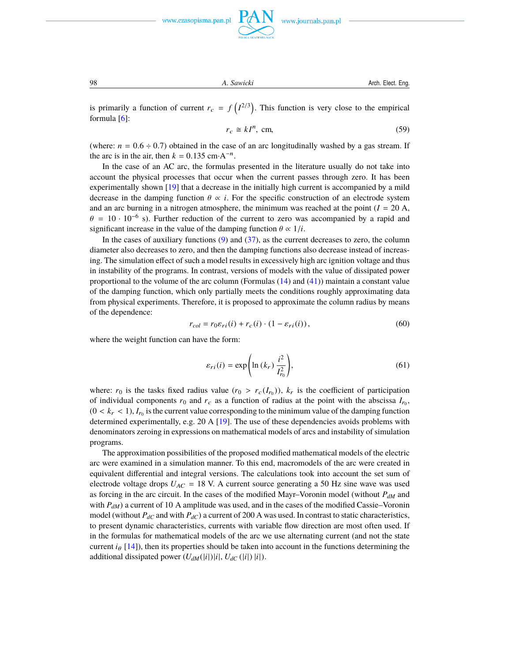www.czasopisma.pan.pl

www.journals.pan.pl



**98 A. Sawicki A. Sawicki Arch. Elect. Eng.** 

is primarily a function of current  $r_c = f(T^{2/3})$ . This function is very close to the empirical formula  $[6]$ :

<span id="page-9-0"></span>
$$
r_c \cong kI^n, \text{ cm}, \tag{59}
$$

(where:  $n = 0.6 \div 0.7$ ) obtained in the case of an arc longitudinally washed by a gas stream. If the arc is in the air, then  $k = 0.135$  cm·A<sup>-n</sup>.<br>In the case of an AC arc, the formulas

In the case of an AC arc, the formulas presented in the literature usually do not take into account the physical processes that occur when the current passes through zero. It has been experimentally shown [\[19\]](#page-13-17) that a decrease in the initially high current is accompanied by a mild decrease in the damping function  $\theta \propto i$ . For the specific construction of an electrode system and an arc burning in a nitrogen atmosphere, the minimum was reached at the point  $(I = 20 A,$  $\theta = 10 \cdot 10^{-6}$  s). Further reduction of the current to zero was accompanied by a rapid and significant increase in the value of the damping function  $\theta \propto 1/i$ significant increase in the value of the damping function  $\theta \propto 1/i$ .

In the cases of auxiliary functions  $(9)$  and  $(37)$ , as the current decreases to zero, the column diameter also decreases to zero, and then the damping functions also decrease instead of increasing. The simulation effect of such a model results in excessively high arc ignition voltage and thus in instability of the programs. In contrast, versions of models with the value of dissipated power proportional to the volume of the arc column (Formulas  $(14)$  and  $(41)$ ) maintain a constant value of the damping function, which only partially meets the conditions roughly approximating data from physical experiments. Therefore, it is proposed to approximate the column radius by means of the dependence:

$$
r_{col} = r_0 \varepsilon_{ri}(i) + r_c(i) \cdot (1 - \varepsilon_{ri}(i)),\tag{60}
$$

where the weight function can have the form:

<span id="page-9-1"></span>
$$
\varepsilon_{ri}(i) = \exp\left(\ln\left(k_r\right)\frac{i^2}{I_{r_0}^2}\right),\tag{61}
$$

where:  $r_0$  is the tasks fixed radius value  $(r_0 > r_c(I_{r_0}))$ ,  $k_r$  is the coefficient of participation of individual components  $r_0$  and  $r_0$  as a function of radius at the point with the abscissa I of individual components  $r_0$  and  $r_c$  as a function of radius at the point with the abscissa  $I_{r_0}$ ,  $(0 < k_r < 1)$ ,  $I_{r_0}$  is the current value corresponding to the minimum value of the damping function determined experimentally  $\approx 20$  A [10]. The use of these dependencies avoids problems with determined experimentally, e.g. 20 A [\[19\]](#page-13-17). The use of these dependencies avoids problems with denominators zeroing in expressions on mathematical models of arcs and instability of simulation programs.

The approximation possibilities of the proposed modified mathematical models of the electric arc were examined in a simulation manner. To this end, macromodels of the arc were created in equivalent differential and integral versions. The calculations took into account the set sum of electrode voltage drops  $U_{AC}$  = 18 V. A current source generating a 50 Hz sine wave was used as forcing in the arc circuit. In the cases of the modified Mayr–Voronin model (without *PdM* and with  $P_{dM}$ ) a current of 10 A amplitude was used, and in the cases of the modified Cassie–Voronin model (without *P*<sub>*dC*</sub> and with *P*<sub>*dC*</sub>) a current of 200 A was used. In contrast to static characteristics, to present dynamic characteristics, currents with variable flow direction are most often used. If in the formulas for mathematical models of the arc we use alternating current (and not the state current  $i_{\theta}$  [\[14\]](#page-13-10)), then its properties should be taken into account in the functions determining the additional dissipated power  $(U_{dM}(i|)|i|, U_{dC}(i|)|i|)$ .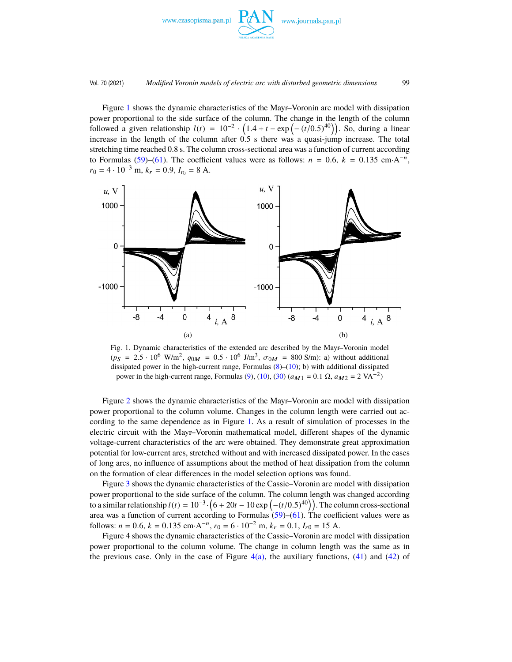



Figure [1](#page-10-0) shows the dynamic characteristics of the Mayr–Voronin arc model with dissipation power proportional to the side surface of the column. The change in the length of the column followed a given relationship  $l(t) = 10^{-2} \cdot (1.4 + t - \exp(-(t/0.5)^{40}))$ . So, during a linear<br>increase in the length of the column after 0.5 s there was a quasi jumn increase. The total increase in the length of the column after 0.5 s there was a quasi-jump increase. The total stretching time reached 0.8 s. The column cross-sectional area was a function of current according to Formulas [\(59\)](#page-9-0)–[\(61\)](#page-9-1). The coefficient values were as follows:  $n = 0.6$ ,  $k = 0.135$  cm·A<sup>-n</sup>,<br> $r_0 = 4 \cdot 10^{-3}$  m  $k = 0.9$ ,  $l = 8$  A  $r_0 = 4 \cdot 10^{-3}$  m,  $k_r = 0.9$ ,  $I_{r_0} = 8$  A.

<span id="page-10-0"></span>

Fig. 1. Dynamic characteristics of the extended arc described by the Mayr–Voronin model  $(p_S = 2.5 \cdot 10^6 \text{ W/m}^2, q_{0M} = 0.5 \cdot 10^6 \text{ J/m}^3, \sigma_{0M} = 800 \text{ S/m}$ : a) without additional<br>discipated power in the high current range. Formulas (8) (10): b) with additional discipated dissipated power in the high-current range, Formulas [\(8\)](#page-2-1)–[\(10\)](#page-2-5); b) with additional dissipated power in the high-current range, Formulas [\(9\)](#page-2-4), [\(10\)](#page-2-5), [\(30\)](#page-5-1)  $(a<sub>M1</sub> = 0.1 Ω, a<sub>M2</sub> = 2 VA<sup>-2</sup>)$ 

Figure [2](#page-11-0) shows the dynamic characteristics of the Mayr–Voronin arc model with dissipation power proportional to the column volume. Changes in the column length were carried out according to the same dependence as in Figure [1.](#page-10-0) As a result of simulation of processes in the electric circuit with the Mayr–Voronin mathematical model, different shapes of the dynamic voltage-current characteristics of the arc were obtained. They demonstrate great approximation potential for low-current arcs, stretched without and with increased dissipated power. In the cases of long arcs, no influence of assumptions about the method of heat dissipation from the column on the formation of clear differences in the model selection options was found.

Figure [3](#page-11-1) shows the dynamic characteristics of the Cassie–Voronin arc model with dissipation power proportional to the side surface of the column. The column length was changed according to a similar relationship  $l(t) = 10^{-3} \cdot (6 + 20t - 10 \exp(-(t/0.5)^{40}))$ . The column cross-sectional area was a function of current according to Formulas (50) (61). The coefficient values were as area was a function of current according to Formulas  $(59)$ – $(61)$ . The coefficient values were as follows:  $n = 0.6$ ,  $k = 0.135$  cm·A<sup>-n</sup>,  $r_0 = 6 \cdot 10^{-2}$  m,  $k_r = 0.1$ ,  $I_{r0} = 15$  A.<br>Figure 4 shows the dynamic characteristics of the Cassie. Voronin arc m

Figure 4 shows the dynamic characteristics of the Cassie–Voronin arc model with dissipation power proportional to the column volume. The change in column length was the same as in the previous case. Only in the case of Figure  $4(a)$ , the auxiliary functions,  $(41)$  and  $(42)$  of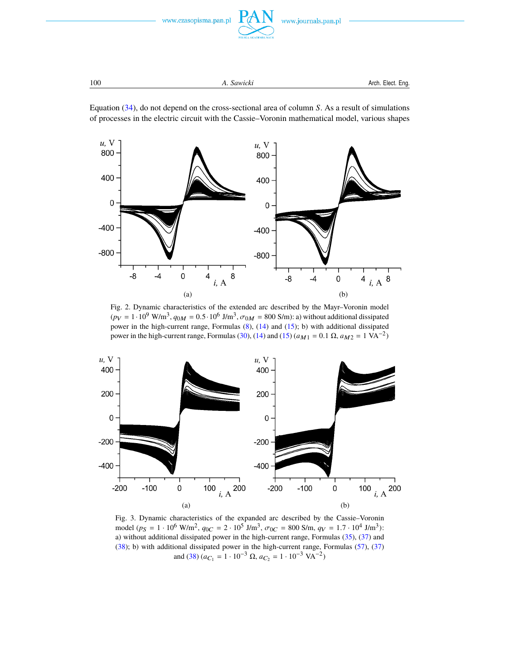

100 A. Sawicki **A. Sawicki** Arch. Elect. Eng.

<span id="page-11-0"></span>

Equation [\(34\)](#page-5-4), do not depend on the cross-sectional area of column *S*. As a result of simulations of processes in the electric circuit with the Cassie–Voronin mathematical model, various shapes

Fig. 2. Dynamic characteristics of the extended arc described by the Mayr–Voronin model  $(p_V = 1 \cdot 10^9 \text{ W/m}^3, q_{0M} = 0.5 \cdot 10^6 \text{ J/m}^3, \sigma_{0M} = 800 \text{ S/m}$ : a) without additional dissipated<br>power in the bigh current range. Formulas (8), (14) and (15): b) with additional dissipated power in the high-current range, Formulas [\(8\)](#page-2-1), [\(14\)](#page-3-2) and [\(15\)](#page-3-3); b) with additional dissipated power in the high-current range, Formulas [\(30\)](#page-5-1), [\(14\)](#page-3-2) and [\(15\)](#page-3-3) ( $a_{M1} = 0.1$  Ω,  $a_{M2} = 1$  VA<sup>-2</sup>)

<span id="page-11-1"></span>

Fig. 3. Dynamic characteristics of the expanded arc described by the Cassie–Voronin model  $(p_S = 1 \cdot 10^6 \text{ W/m}^2, q_{0C} = 2 \cdot 10^5 \text{ J/m}^3, \sigma_{0C} = 800 \text{ S/m}, q_V = 1.7 \cdot 10^4 \text{ J/m}^3$ :<br>a) without additional dissinated power in the high current range. Formulas (35) (37) and a) without additional dissipated power in the high-current range, Formulas [\(35\)](#page-5-3), [\(37\)](#page-6-0) and  $(38)$ ; b) with additional dissipated power in the high-current range, Formulas  $(57)$ ,  $(37)$ and [\(38\)](#page-6-3)  $(a_{C_1} = 1 \cdot 10^{-3} \Omega, a_{C_2} = 1 \cdot 10^{-3} \text{ VA}^{-2})$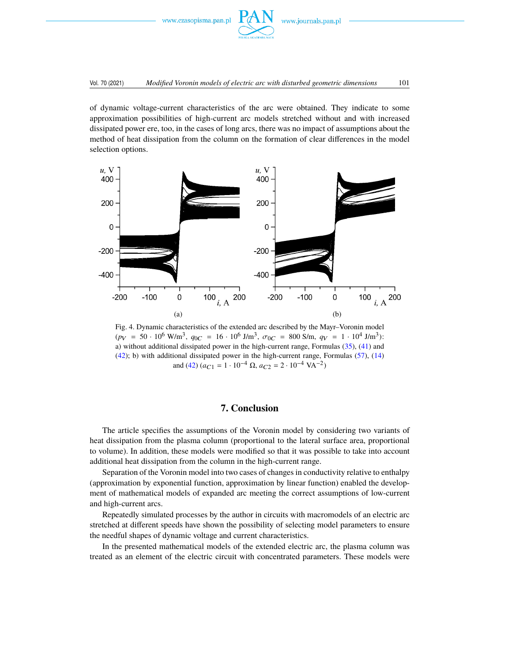

of dynamic voltage-current characteristics of the arc were obtained. They indicate to some approximation possibilities of high-current arc models stretched without and with increased dissipated power ere, too, in the cases of long arcs, there was no impact of assumptions about the method of heat dissipation from the column on the formation of clear differences in the model selection options.

<span id="page-12-0"></span>

Fig. 4. Dynamic characteristics of the extended arc described by the Mayr–Voronin model  $(p_V = 50 \cdot 10^6 \text{ W/m}^3, q_{0C} = 16 \cdot 10^6 \text{ J/m}^3, \sigma_{0C} = 800 \text{ S/m}, q_V = 1 \cdot 10^4 \text{ J/m}^3$ :<br>a) without additional discipated power in the bigh current range. Formulas (35) (41) and a) without additional dissipated power in the high-current range, Formulas [\(35\)](#page-5-3), [\(41\)](#page-6-1) and  $(42)$ ; b) with additional dissipated power in the high-current range, Formulas  $(57)$ ,  $(14)$ and [\(42\)](#page-6-2)  $(a_{C1} = 1 \cdot 10^{-4} \Omega, a_{C2} = 2 \cdot 10^{-4} \text{ VA}^{-2})$ 

#### **7. Conclusion**

The article specifies the assumptions of the Voronin model by considering two variants of heat dissipation from the plasma column (proportional to the lateral surface area, proportional to volume). In addition, these models were modified so that it was possible to take into account additional heat dissipation from the column in the high-current range.

Separation of the Voronin model into two cases of changes in conductivity relative to enthalpy (approximation by exponential function, approximation by linear function) enabled the development of mathematical models of expanded arc meeting the correct assumptions of low-current and high-current arcs.

Repeatedly simulated processes by the author in circuits with macromodels of an electric arc stretched at different speeds have shown the possibility of selecting model parameters to ensure the needful shapes of dynamic voltage and current characteristics.

In the presented mathematical models of the extended electric arc, the plasma column was treated as an element of the electric circuit with concentrated parameters. These models were